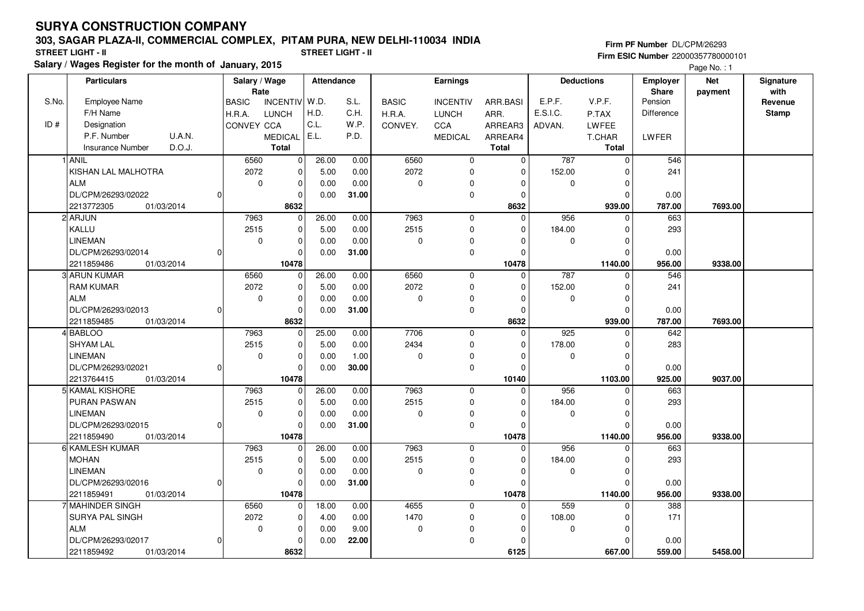## **SURYA CONSTRUCTION COMPANY**

## **303, SAGAR PLAZA-II, COMMERCIAL COMPLEX, PITAM PURA, NEW DELHI-110034 INDIA**

**Salary / Wages Register for the month of January, 2015 STREET LIGHT - II STREET LIGHT - II**

**Firm PF Number** DL/CPM/26293 **Firm ESIC Number** 22000357780000101

Page No. : 1

|       | <b>Particulars</b>                          |   | Salary / Wage<br>Rate |                       | <b>Attendance</b> |              | <b>Earnings</b> |                            |                   | <b>Deductions</b> |              | Employer<br>Share | <b>Net</b><br>payment | Signature<br>with |
|-------|---------------------------------------------|---|-----------------------|-----------------------|-------------------|--------------|-----------------|----------------------------|-------------------|-------------------|--------------|-------------------|-----------------------|-------------------|
| S.No. | <b>Employee Name</b>                        |   | <b>BASIC</b>          | INCENTIV W.D.         |                   | S.L.         | <b>BASIC</b>    | <b>INCENTIV</b>            | ARR.BASI          | E.P.F.            | V.P.F.       | Pension           |                       | Revenue           |
|       | F/H Name                                    |   | H.R.A.                | <b>LUNCH</b>          | H.D.              | C.H.         | H.R.A.          | <b>LUNCH</b>               | ARR.              | E.S.I.C.          | P.TAX        | Difference        |                       | <b>Stamp</b>      |
| ID#   | Designation                                 |   | CONVEY CCA            |                       | C.L.              | W.P.         | CONVEY.         | CCA                        | ARREAR3           | ADVAN.            | LWFEE        |                   |                       |                   |
|       | P.F. Number<br>U.A.N.                       |   |                       | <b>MEDICAL</b>        | E.L.              | P.D.         |                 | <b>MEDICAL</b>             | ARREAR4           |                   | T.CHAR       | LWFER             |                       |                   |
|       | D.O.J.<br><b>Insurance Number</b>           |   |                       | <b>Total</b>          |                   |              |                 |                            | <b>Total</b>      |                   | <b>Total</b> |                   |                       |                   |
|       | 1 ANIL                                      |   | 6560                  | $\mathbf 0$           | 26.00             | 0.00         | 6560            | $\mathbf 0$                | $\mathbf 0$       | 787               | $\mathbf 0$  | 546               |                       |                   |
|       | KISHAN LAL MALHOTRA                         |   | 2072                  | 0                     | 5.00              | 0.00         | 2072            | 0                          | $\Omega$          | 152.00            |              | 241               |                       |                   |
|       | <b>ALM</b>                                  |   | $\mathbf 0$           | $\mathbf 0$           | 0.00              | 0.00         | $\pmb{0}$       | $\mathbf 0$                | $\Omega$          | $\mathbf 0$       | $\Omega$     |                   |                       |                   |
|       | DL/CPM/26293/02022                          |   |                       | $\mathbf 0$           | 0.00              | 31.00        |                 | 0                          | $\Omega$          |                   | O            | 0.00              |                       |                   |
|       | 2213772305<br>01/03/2014                    |   |                       | 8632                  |                   |              |                 |                            | 8632              |                   | 939.00       | 787.00            | 7693.00               |                   |
|       | 2 ARJUN                                     |   | 7963                  | 0                     | 26.00             | 0.00         | 7963            | $\mathbf 0$                | $\Omega$          | 956               | $\Omega$     | 663               |                       |                   |
|       | KALLU                                       |   | 2515                  | $\mathbf 0$           | 5.00              | 0.00         | 2515            | $\mathsf 0$                | $\Omega$          | 184.00            | $\Omega$     | 293               |                       |                   |
|       | <b>LINEMAN</b>                              |   | $\Omega$              | $\mathbf 0$           | 0.00              | 0.00         | $\mathbf 0$     | 0                          |                   | $\Omega$          |              |                   |                       |                   |
|       | DL/CPM/26293/02014                          |   |                       | 0                     | 0.00              | 31.00        |                 | 0                          | $\Omega$          |                   | O            | 0.00              |                       |                   |
|       | 2211859486<br>01/03/2014                    |   |                       | 10478                 |                   |              |                 |                            | 10478             |                   | 1140.00      | 956.00            | 9338.00               |                   |
|       | 3 ARUN KUMAR                                |   | 6560                  | 0                     | 26.00             | 0.00         | 6560            | $\mathbf 0$                | $\Omega$          | 787               |              | 546               |                       |                   |
|       | <b>RAM KUMAR</b>                            |   | 2072                  | 0                     | 5.00              | 0.00         | 2072            | $\mathbf 0$                | $\Omega$          | 152.00            |              | 241               |                       |                   |
|       | <b>ALM</b>                                  |   | 0                     | $\mathbf 0$           | 0.00              | 0.00         | 0               | 0                          | $\Omega$          | 0                 | O            |                   |                       |                   |
|       | DL/CPM/26293/02013                          |   |                       | $\mathbf 0$           | 0.00              | 31.00        |                 | 0                          | $\Omega$          |                   | $\Omega$     | 0.00              |                       |                   |
|       | 2211859485<br>01/03/2014                    |   |                       | 8632                  |                   |              |                 |                            | 8632              |                   | 939.00       | 787.00            | 7693.00               |                   |
|       | 4 BABLOO                                    |   | 7963                  | $\overline{0}$        | 25.00             | 0.00         | 7706            | $\mathbf 0$                | $\Omega$          | 925               | $\Omega$     | 642               |                       |                   |
|       | <b>SHYAM LAL</b>                            |   | 2515                  | $\mathbf 0$           | 5.00              | 0.00         | 2434            | $\mathbf 0$                | $\Omega$          | 178.00            | $\Omega$     | 283               |                       |                   |
|       | <b>LINEMAN</b>                              |   | $\mathbf 0$           | $\mathbf 0$           | 0.00              | 1.00         | $\pmb{0}$       | 0                          | $\Omega$          | 0                 | O            |                   |                       |                   |
|       | DL/CPM/26293/02021                          | O |                       | $\Omega$              | 0.00              | 30.00        |                 | 0                          | $\Omega$          |                   | $\Omega$     | 0.00              |                       |                   |
|       | 2213764415<br>01/03/2014                    |   |                       | 10478                 |                   |              |                 |                            | 10140             |                   | 1103.00      | 925.00            | 9037.00               |                   |
|       | 5 KAMAL KISHORE                             |   | 7963                  | $\mathbf 0$           | 26.00             | 0.00         | 7963            | $\mathbf 0$                | $\Omega$          | 956               | U            | 663               |                       |                   |
|       | PURAN PASWAN                                |   | 2515                  | 0                     | 5.00              | 0.00         | 2515            | 0                          | $\Omega$          | 184.00            | O            | 293               |                       |                   |
|       | <b>LINEMAN</b>                              |   | 0                     | $\pmb{0}$             | 0.00              | 0.00         | $\pmb{0}$       | 0                          | 0                 | 0                 | $\Omega$     |                   |                       |                   |
|       | DL/CPM/26293/02015                          |   |                       | $\Omega$              | 0.00              | 31.00        |                 | 0                          |                   |                   | n            | 0.00              |                       |                   |
|       | 2211859490<br>01/03/2014<br>6 KAMLESH KUMAR |   | 7963                  | 10478                 |                   |              | 7963            |                            | 10478<br>$\Omega$ | 956               | 1140.00<br>U | 956.00<br>663     | 9338.00               |                   |
|       | <b>MOHAN</b>                                |   | 2515                  | 0                     | 26.00<br>5.00     | 0.00<br>0.00 | 2515            | $\mathbf 0$<br>$\mathbf 0$ | $\Omega$          | 184.00            | $\Omega$     | 293               |                       |                   |
|       | <b>LINEMAN</b>                              |   | $\mathbf 0$           | $\pmb{0}$<br>$\Omega$ | 0.00              | 0.00         | $\pmb{0}$       | 0                          | $\Omega$          | $\mathbf 0$       |              |                   |                       |                   |
|       | DL/CPM/26293/02016                          |   |                       | $\Omega$              | 0.00              | 31.00        |                 | $\mathbf 0$                | $\Omega$          |                   | n            | 0.00              |                       |                   |
|       | 2211859491<br>01/03/2014                    |   |                       | 10478                 |                   |              |                 |                            | 10478             |                   | 1140.00      | 956.00            | 9338.00               |                   |
|       | 7 MAHINDER SINGH                            |   | 6560                  | $\mathbf 0$           | 18.00             | 0.00         | 4655            | $\mathbf 0$                | $\Omega$          | 559               | $\Omega$     | 388               |                       |                   |
|       | SURYA PAL SINGH                             |   | 2072                  | $\pmb{0}$             | 4.00              | 0.00         | 1470            | 0                          | $\Omega$          | 108.00            | O            | 171               |                       |                   |
|       | <b>ALM</b>                                  |   | $\mathbf 0$           | $\mathbf 0$           | 0.00              | 9.00         | $\mathbf 0$     | 0                          | $\Omega$          | $\mathbf 0$       | ŋ            |                   |                       |                   |
|       | DL/CPM/26293/02017                          | 0 |                       | $\Omega$              | 0.00              | 22.00        |                 | 0                          | $\Omega$          |                   | $\Omega$     | 0.00              |                       |                   |
|       | 2211859492<br>01/03/2014                    |   |                       | 8632                  |                   |              |                 |                            | 6125              |                   | 667.00       | 559.00            | 5458.00               |                   |
|       |                                             |   |                       |                       |                   |              |                 |                            |                   |                   |              |                   |                       |                   |